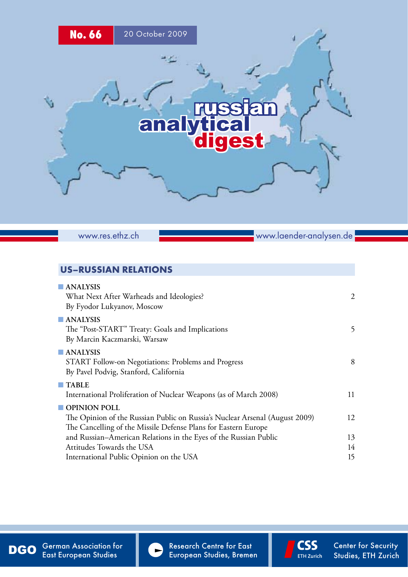

www.res.ethz.ch

www.laender-analysen.de

# US–Russian Relations

| <b>ANALYSIS</b>                                                             |    |
|-----------------------------------------------------------------------------|----|
| What Next After Warheads and Ideologies?                                    | 2  |
| By Fyodor Lukyanov, Moscow                                                  |    |
| <b>ANALYSIS</b>                                                             |    |
| The "Post-START" Treaty: Goals and Implications                             | 5  |
| By Marcin Kaczmarski, Warsaw                                                |    |
| $\blacksquare$ ANALYSIS                                                     |    |
| START Follow-on Negotiations: Problems and Progress                         | 8  |
| By Pavel Podvig, Stanford, California                                       |    |
| $\blacksquare$ TABLE                                                        |    |
| International Proliferation of Nuclear Weapons (as of March 2008)           | 11 |
| OPINION POLL                                                                |    |
| The Opinion of the Russian Public on Russia's Nuclear Arsenal (August 2009) | 12 |
| The Cancelling of the Missile Defense Plans for Eastern Europe              |    |
| and Russian-American Relations in the Eyes of the Russian Public            | 13 |
| Attitudes Towards the USA                                                   | 14 |
| International Public Opinion on the USA                                     | 15 |

DGO German Association for Research Centre for East Content Content or Security<br>European Studies, ETH Zurich Studies, ETH Zurich German Association for East European Studies



Research Centre for East

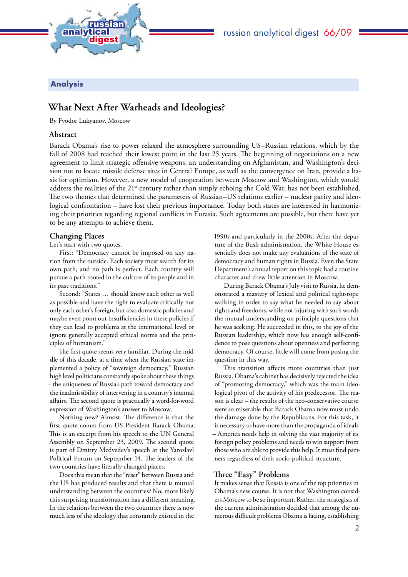<span id="page-1-0"></span>

## russian analytical digest 66/09

## Analysis

# **What Next After Warheads and Ideologies?**

By Fyodor Lukyanov, Moscow

## **Abstract**

Barack Obama's rise to power relaxed the atmosphere surrounding US–Russian relations, which by the fall of 2008 had reached their lowest point in the last 25 years. The beginning of negotiations on a new agreement to limit strategic offensive weapons, an understanding on Afghanistan, and Washington's decision not to locate missile defense sites in Central Europe, as well as the convergence on Iran, provide a basis for optimism. However, a new model of cooperation between Moscow and Washington, which would address the realities of the 21<sup>st</sup> century rather than simply echoing the Cold War, has not been established. The two themes that determined the parameters of Russian–US relations earlier – nuclear parity and ideological confrontation – have lost their previous importance. Today both states are interested in harmonizing their priorities regarding regional conflicts in Eurasia. Such agreements are possible, but there have yet to be any attempts to achieve them.

## **Changing Places**

Let's start with two quotes.

First: "Democracy cannot be imposed on any nation from the outside. Each society must search for its own path, and no path is perfect. Each country will pursue a path rooted in the culture of its people and in its past traditions."

Second: "States … should know each other as well as possible and have the right to evaluate critically not only each other's foreign, but also domestic policies and maybe even point out insufficiencies in these policies if they can lead to problems at the international level or ignore generally accepted ethical norms and the principles of humanism."

The first quote seems very familiar. During the middle of this decade, at a time when the Russian state implemented a policy of "sovereign democracy," Russian high level politicians constantly spoke about these things – the uniqueness of Russia's path toward democracy and the inadmissibility of intervening in a country's internal affairs. The second quote is practically a word-for-word expression of Washington's answer to Moscow.

Nothing new? Almost. The difference is that the first quote comes from US President Barack Obama. This is an excerpt from his speech to the UN General Assembly on September 23, 2009. The second quote is part of Dmitry Medvedev's speech at the Yaroslavl Political Forum on September 14. The leaders of the two countries have literally changed places.

Does this mean that the "reset" between Russia and the US has produced results and that there is mutual understanding between the countries? No, more likely this surprising transformation has a different meaning. In the relations between the two countries there is now much less of the ideology that constantly existed in the

1990s and particularly in the 2000s. After the departure of the Bush administration, the White House essentially does not make any evaluations of the state of democracy and human rights in Russia. Even the State Department's annual report on this topic had a routine character and drew little attention in Moscow.

During Barack Obama's July visit to Russia, he demonstrated a mastery of lexical and political tight-rope walking in order to say what he needed to say about rights and freedoms, while not injuring with such words the mutual understanding on principle questions that he was seeking. He succeeded in this, to the joy of the Russian leadership, which now has enough self-confidence to pose questions about openness and perfecting democracy. Of course, little will come from posing the question in this way.

This transition affects more countries than just Russia. Obama's cabinet has decisively rejected the idea of "promoting democracy," which was the main ideological pivot of the activity of his predecessor. The reason is clear – the results of the neo-conservative course were so miserable that Barack Obama now must undo the damage done by the Republicans. For this task, it is necessary to have more than the propaganda of ideals – America needs help in solving the vast majority of its foreign policy problems and needs to win support from those who are able to provide this help. It must find partners regardless of their socio-political structure.

### **Three "Easy" Problems**

It makes sense that Russia is one of the top priorities in Obama's new course. It is not that Washington considers Moscow to be so important. Rather, the strategists of the current administration decided that among the numerous difficult problems Obama is facing, establishing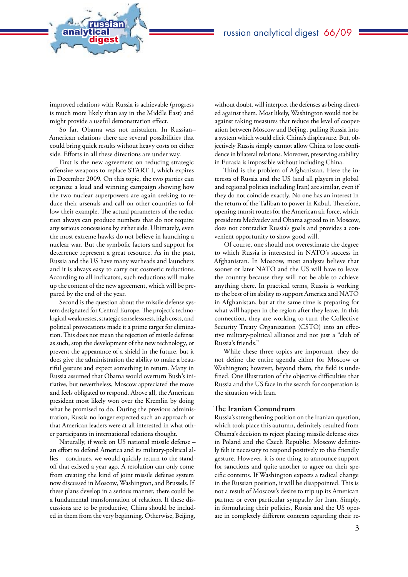improved relations with Russia is achievable (progress is much more likely than say in the Middle East) and might provide a useful demonstration effect.

analytical<br>digest

russian

So far, Obama was not mistaken. In Russian– American relations there are several possibilities that could bring quick results without heavy costs on either side. Efforts in all these directions are under way.

First is the new agreement on reducing strategic offensive weapons to replace START I, which expires in December 2009. On this topic, the two parties can organize a loud and winning campaign showing how the two nuclear superpowers are again seeking to reduce their arsenals and call on other countries to follow their example. The actual parameters of the reduction always can produce numbers that do not require any serious concessions by either side. Ultimately, even the most extreme hawks do not believe in launching a nuclear war. But the symbolic factors and support for deterrence represent a great resource. As in the past, Russia and the US have many warheads and launchers and it is always easy to carry out cosmetic reductions. According to all indicators, such reductions will make up the content of the new agreement, which will be prepared by the end of the year.

Second is the question about the missile defense system designated for Central Europe. The project's technological weaknesses, strategic senselessness, high costs, and political provocations made it a prime target for elimination. This does not mean the rejection of missile defense as such, stop the development of the new technology, or prevent the appearance of a shield in the future, but it does give the administration the ability to make a beautiful gesture and expect something in return. Many in Russia assumed that Obama would overturn Bush's initiative, but nevertheless, Moscow appreciated the move and feels obligated to respond. Above all, the American president most likely won over the Kremlin by doing what he promised to do. During the previous administration, Russia no longer expected such an approach or that American leaders were at all interested in what other participants in international relations thought.

Naturally, if work on US national missile defense – an effort to defend America and its military-political allies – continues, we would quickly return to the standoff that existed a year ago. A resolution can only come from creating the kind of joint missile defense system now discussed in Moscow, Washington, and Brussels. If these plans develop in a serious manner, there could be a fundamental transformation of relations. If these discussions are to be productive, China should be included in them from the very beginning. Otherwise, Beijing,

without doubt, will interpret the defenses as being directed against them. Most likely, Washington would not be against taking measures that reduce the level of cooperation between Moscow and Beijing, pulling Russia into a system which would elicit China's displeasure. But, objectively Russia simply cannot allow China to lose confidence in bilateral relations. Moreover, preserving stability in Eurasia is impossible without including China.

Third is the problem of Afghanistan. Here the interests of Russia and the US (and all players in global and regional politics including Iran) are similar, even if they do not coincide exactly. No one has an interest in the return of the Taliban to power in Kabul. Therefore, opening transit routes for the American air force, which presidents Medvedev and Obama agreed to in Moscow, does not contradict Russia's goals and provides a convenient opportunity to show good will.

Of course, one should not overestimate the degree to which Russia is interested in NATO's success in Afghanistan. In Moscow, most analysts believe that sooner or later NATO and the US will have to leave the country because they will not be able to achieve anything there. In practical terms, Russia is working to the best of its ability to support America and NATO in Afghanistan, but at the same time is preparing for what will happen in the region after they leave. In this connection, they are working to turn the Collective Security Treaty Organization (CSTO) into an effective military-political alliance and not just a "club of Russia's friends."

While these three topics are important, they do not define the entire agenda either for Moscow or Washington; however, beyond them, the field is undefined. One illustration of the objective difficulties that Russia and the US face in the search for cooperation is the situation with Iran.

## **The Iranian Conundrum**

Russia's strengthening position on the Iranian question, which took place this autumn, definitely resulted from Obama's decision to reject placing missile defense sites in Poland and the Czech Republic. Moscow definitely felt it necessary to respond positively to this friendly gesture. However, it is one thing to announce support for sanctions and quite another to agree on their specific contents. If Washington expects a radical change in the Russian position, it will be disappointed. This is not a result of Moscow's desire to trip up its American partner or even particular sympathy for Iran. Simply, in formulating their policies, Russia and the US operate in completely different contexts regarding their re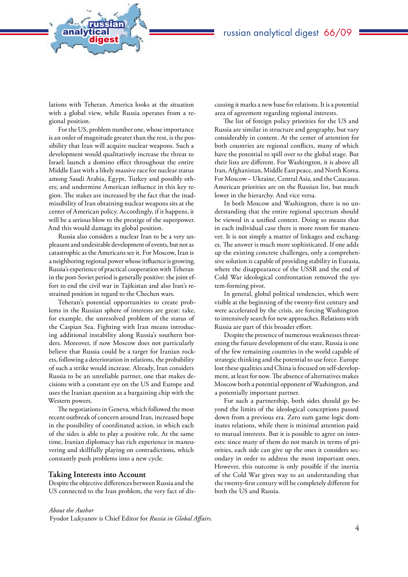lations with Teheran. America looks at the situation with a global view, while Russia operates from a regional position.

analytical<br>digest

russian

For the US, problem number one, whose importance is an order of magnitude greater than the rest, is the possibility that Iran will acquire nuclear weapons. Such a development would qualitatively increase the threat to Israel; launch a domino effect throughout the entire Middle East with a likely massive race for nuclear status among Saudi Arabia, Egypt, Turkey and possibly others; and undermine American influence in this key region. The stakes are increased by the fact that the inadmissibility of Iran obtaining nuclear weapons sits at the center of American policy. Accordingly, if it happens, it will be a serious blow to the prestige of the superpower. And this would damage its global position.

Russia also considers a nuclear Iran to be a very unpleasant and undesirable development of events, but not as catastrophic as the Americans see it. For Moscow, Iran is a neighboring regional power whose influence is growing. Russia's experience of practical cooperation with Teheran in the post-Soviet period is generally positive: the joint effort to end the civil war in Tajikistan and also Iran's restrained position in regard to the Chechen wars.

Teheran's potential opportunities to create problems in the Russian sphere of interests are great: take, for example, the unresolved problem of the status of the Caspian Sea. Fighting with Iran means introducing additional instability along Russia's southern borders. Moreover, if now Moscow does not particularly believe that Russia could be a target for Iranian rockets, following a deterioration in relations, the probability of such a strike would increase. Already, Iran considers Russia to be an unreliable partner, one that makes decisions with a constant eye on the US and Europe and uses the Iranian question as a bargaining chip with the Western powers.

The negotiations in Geneva, which followed the most recent outbreak of concern around Iran, increased hope in the possibility of coordinated action, in which each of the sides is able to play a positive role. At the same time, Iranian diplomacy has rich experience in maneuvering and skillfully playing on contradictions, which constantly push problems into a new cycle.

#### **Taking Interests into Account**

Despite the objective differences between Russia and the US connected to the Iran problem, the very fact of discussing it marks a new base for relations. It is a potential area of agreement regarding regional interests.

The list of foreign policy priorities for the US and Russia are similar in structure and geography, but vary considerably in content. At the center of attention for both countries are regional conflicts, many of which have the potential to spill over to the global stage. But their lists are different. For Washington, it is above all Iran, Afghanistan, Middle East peace, and North Korea. For Moscow – Ukraine, Central Asia, and the Caucasus. American priorities are on the Russian list, but much lower in the hierarchy. And vice versa.

In both Moscow and Washington, there is no understanding that the entire regional spectrum should be viewed in a unified context. Doing so means that in each individual case there is more room for maneuver. It is not simply a matter of linkages and exchanges. The answer is much more sophisticated. If one adds up the existing concrete challenges, only a comprehensive solution is capable of providing stability in Eurasia, where the disappearance of the USSR and the end of Cold War ideological confrontation removed the system-forming pivot.

In general, global political tendencies, which were visible at the beginning of the twenty-first century and were accelerated by the crisis, are forcing Washington to intensively search for new approaches. Relations with Russia are part of this broader effort.

Despite the presence of numerous weaknesses threatening the future development of the state, Russia is one of the few remaining countries in the world capable of strategic thinking and the potential to use force. Europe lost these qualities and China is focused on self-development, at least for now. The absence of alternatives makes Moscow both a potential opponent of Washington, and a potentially important partner.

For such a partnership, both sides should go beyond the limits of the ideological conceptions passed down from a previous era. Zero sum game logic dominates relations, while there is minimal attention paid to mutual interests. But it is possible to agree on interests: since many of them do not match in terms of priorities, each side can give up the ones it considers secondary in order to address the most important ones. However, this outcome is only possible if the inertia of the Cold War gives way to an understanding that the twenty-first century will be completely different for both the US and Russia.

#### *About the Author*

Fyodor Lukyanov is Chief Editor for *Russia in Global Affairs*.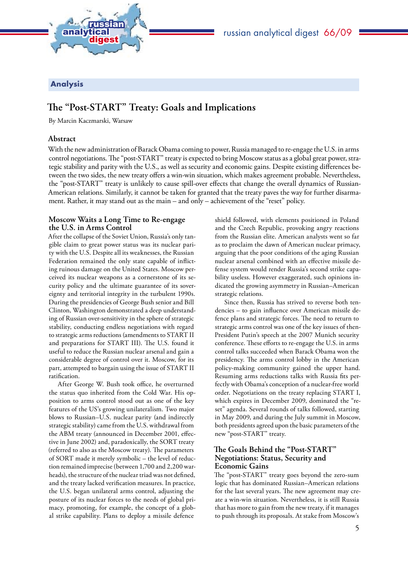<span id="page-4-0"></span>

## Analysis

# **The "Post-START" Treaty: Goals and Implications**

By Marcin Kaczmarski, Warsaw

## **Abstract**

With the new administration of Barack Obama coming to power, Russia managed to re-engage the U.S. in arms control negotiations. The "post-START" treaty is expected to bring Moscow status as a global great power, strategic stability and parity with the U.S., as well as security and economic gains. Despite existing differences between the two sides, the new treaty offers a win-win situation, which makes agreement probable. Nevertheless, the "post-START" treaty is unlikely to cause spill-over effects that change the overall dynamics of Russian-American relations. Similarly, it cannot be taken for granted that the treaty paves the way for further disarmament. Rather, it may stand out as the main – and only – achievement of the "reset" policy.

## **Moscow Waits a Long Time to Re-engage the U.S. in Arms Control**

After the collapse of the Soviet Union, Russia's only tangible claim to great power status was its nuclear parity with the U.S. Despite all its weaknesses, the Russian Federation remained the only state capable of inflicting ruinous damage on the United States. Moscow perceived its nuclear weapons as a cornerstone of its security policy and the ultimate guarantee of its sovereignty and territorial integrity in the turbulent 1990s. During the presidencies of George Bush senior and Bill Clinton, Washington demonstrated a deep understanding of Russian over-sensitivity in the sphere of strategic stability, conducting endless negotiations with regard to strategic arms reductions (amendments to START II and preparations for START III). The U.S. found it useful to reduce the Russian nuclear arsenal and gain a considerable degree of control over it. Moscow, for its part, attempted to bargain using the issue of START II ratification.

After George W. Bush took office, he overturned the status quo inherited from the Cold War. His opposition to arms control stood out as one of the key features of the US's growing unilateralism. Two major blows to Russian–U.S. nuclear parity (and indirectly strategic stability) came from the U.S. withdrawal from the ABM treaty (announced in December 2001, effective in June 2002) and, paradoxically, the SORT treaty (referred to also as the Moscow treaty). The parameters of SORT made it merely symbolic – the level of reduction remained imprecise (between 1,700 and 2,200 warheads), the structure of the nuclear triad was not defined, and the treaty lacked verification measures. In practice, the U.S. began unilateral arms control, adjusting the posture of its nuclear forces to the needs of global primacy, promoting, for example, the concept of a global strike capability. Plans to deploy a missile defence

shield followed, with elements positioned in Poland and the Czech Republic, provoking angry reactions from the Russian elite. American analysts went so far as to proclaim the dawn of American nuclear primacy, arguing that the poor conditions of the aging Russian nuclear arsenal combined with an effective missile defense system would render Russia's second strike capability useless. However exaggerated, such opinions indicated the growing asymmetry in Russian–American strategic relations.

Since then, Russia has strived to reverse both tendencies – to gain influence over American missile defence plans and strategic forces. The need to return to strategic arms control was one of the key issues of then-President Putin's speech at the 2007 Munich security conference. These efforts to re-engage the U.S. in arms control talks succeeded when Barack Obama won the presidency. The arms control lobby in the American policy-making community gained the upper hand. Resuming arms reductions talks with Russia fits perfectly with Obama's conception of a nuclear-free world order. Negotiations on the treaty replacing START I, which expires in December 2009, dominated the "reset" agenda. Several rounds of talks followed, starting in May 2009, and during the July summit in Moscow, both presidents agreed upon the basic parameters of the new "post-START" treaty.

## **The Goals Behind the "Post-START" Negotiations: Status, Security and Economic Gains**

The "post-START" treaty goes beyond the zero-sum logic that has dominated Russian–American relations for the last several years. The new agreement may create a win-win situation. Nevertheless, it is still Russia that has more to gain from the new treaty, if it manages to push through its proposals. At stake from Moscow's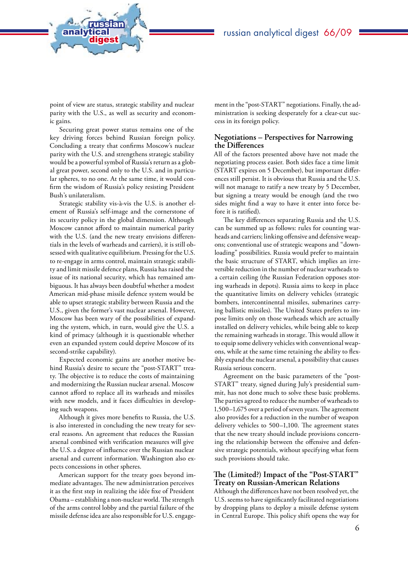

point of view are status, strategic stability and nuclear parity with the U.S., as well as security and economic gains.

analytical<br>digest

russian

Securing great power status remains one of the key driving forces behind Russian foreign policy. Concluding a treaty that confirms Moscow's nuclear parity with the U.S. and strengthens strategic stability would be a powerful symbol of Russia's return as a global great power, second only to the U.S. and in particular spheres, to no one. At the same time, it would confirm the wisdom of Russia's policy resisting President Bush's unilateralism.

Strategic stability vis-à-vis the U.S. is another element of Russia's self-image and the cornerstone of its security policy in the global dimension. Although Moscow cannot afford to maintain numerical parity with the U.S. (and the new treaty envisions differentials in the levels of warheads and carriers), it is still obsessed with qualitative equilibrium. Pressing for the U.S. to re-engage in arms control, maintain strategic stability and limit missile defence plans, Russia has raised the issue of its national security, which has remained ambiguous. It has always been doubtful whether a modest American mid-phase missile defence system would be able to upset strategic stability between Russia and the U.S., given the former's vast nuclear arsenal. However, Moscow has been wary of the possibilities of expanding the system, which, in turn, would give the U.S. a kind of primacy (although it is questionable whether even an expanded system could deprive Moscow of its second-strike capability).

Expected economic gains are another motive behind Russia's desire to secure the "post-START" treaty. The objective is to reduce the costs of maintaining and modernizing the Russian nuclear arsenal. Moscow cannot afford to replace all its warheads and missiles with new models, and it faces difficulties in developing such weapons.

Although it gives more benefits to Russia, the U.S. is also interested in concluding the new treaty for several reasons. An agreement that reduces the Russian arsenal combined with verification measures will give the U.S. a degree of influence over the Russian nuclear arsenal and current information. Washington also expects concessions in other spheres.

American support for the treaty goes beyond immediate advantages. The new administration perceives it as the first step in realizing the idée fixe of President Obama – establishing a non-nuclear world. The strength of the arms control lobby and the partial failure of the missile defense idea are also responsible for U.S. engagement in the "post-START" negotiations. Finally, the administration is seeking desperately for a clear-cut success in its foreign policy.

### **Negotiations – Perspectives for Narrowing the Differences**

All of the factors presented above have not made the negotiating process easier. Both sides face a time limit (START expires on 5 December), but important differences still persist. It is obvious that Russia and the U.S. will not manage to ratify a new treaty by 5 December, but signing a treaty would be enough (and the two sides might find a way to have it enter into force before it is ratified).

The key differences separating Russia and the U.S. can be summed up as follows: rules for counting warheads and carriers; linking offensive and defensive weapons; conventional use of strategic weapons and "downloading" possibilities. Russia would prefer to maintain the basic structure of START, which implies an irreversible reduction in the number of nuclear warheads to a certain ceiling (the Russian Federation opposes storing warheads in depots). Russia aims to keep in place the quantitative limits on delivery vehicles (strategic bombers, intercontinental missiles, submarines carrying ballistic missiles). The United States prefers to impose limits only on those warheads which are actually installed on delivery vehicles, while being able to keep the remaining warheads in storage. This would allow it to equip some delivery vehicles with conventional weapons, while at the same time retaining the ability to flexibly expand the nuclear arsenal, a possibility that causes Russia serious concern.

Agreement on the basic parameters of the "post-START" treaty, signed during July's presidential summit, has not done much to solve these basic problems. The parties agreed to reduce the number of warheads to 1,500–1,675 over a period of seven years. The agreement also provides for a reduction in the number of weapon delivery vehicles to 500–1,100. The agreement states that the new treaty should include provisions concerning the relationship between the offensive and defensive strategic potentials, without specifying what form such provisions should take.

## **The (Limited?) Impact of the "Post-START" Treaty on Russian-American Relations**

Although the differences have not been resolved yet, the U.S. seems to have significantly facilitated negotiations by dropping plans to deploy a missile defense system in Central Europe. This policy shift opens the way for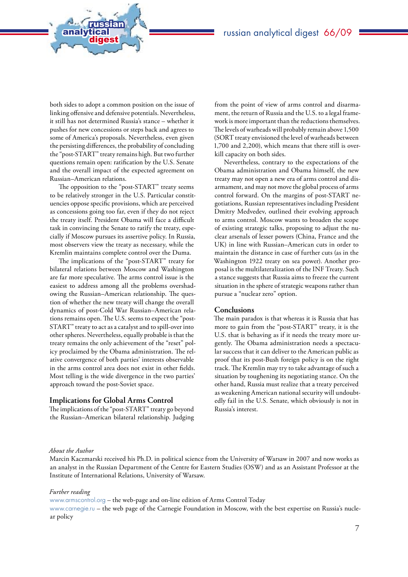both sides to adopt a common position on the issue of linking offensive and defensive potentials. Nevertheless, it still has not determined Russia's stance – whether it pushes for new concessions or steps back and agrees to some of America's proposals. Nevertheless, even given the persisting differences, the probability of concluding the "post-START" treaty remains high. But two further questions remain open: ratification by the U.S. Senate and the overall impact of the expected agreement on Russian–American relations.

analytical<br>digest

russian

The opposition to the "post-START" treaty seems to be relatively stronger in the U.S. Particular constituencies oppose specific provisions, which are perceived as concessions going too far, even if they do not reject the treaty itself. President Obama will face a difficult task in convincing the Senate to ratify the treaty, especially if Moscow pursues its assertive policy. In Russia, most observers view the treaty as necessary, while the Kremlin maintains complete control over the Duma.

The implications of the "post-START" treaty for bilateral relations between Moscow and Washington are far more speculative. The arms control issue is the easiest to address among all the problems overshadowing the Russian–American relationship. The question of whether the new treaty will change the overall dynamics of post-Cold War Russian–American relations remains open. The U.S. seems to expect the "post-START" treaty to act as a catalyst and to spill-over into other spheres. Nevertheless, equally probable is that the treaty remains the only achievement of the "reset" policy proclaimed by the Obama administration. The relative convergence of both parties' interests observable in the arms control area does not exist in other fields. Most telling is the wide divergence in the two parties' approach toward the post-Soviet space.

#### **Implications for Global Arms Control**

The implications of the "post-START" treaty go beyond the Russian–American bilateral relationship. Judging

from the point of view of arms control and disarmament, the return of Russia and the U.S. to a legal framework is more important than the reductions themselves. The levels of warheads will probably remain above 1,500 (SORT treaty envisioned the level of warheads between 1,700 and 2,200), which means that there still is overkill capacity on both sides.

Nevertheless, contrary to the expectations of the Obama administration and Obama himself, the new treaty may not open a new era of arms control and disarmament, and may not move the global process of arms control forward. On the margins of post-START negotiations, Russian representatives including President Dmitry Medvedev, outlined their evolving approach to arms control. Moscow wants to broaden the scope of existing strategic talks, proposing to adjust the nuclear arsenals of lesser powers (China, France and the UK) in line with Russian–American cuts in order to maintain the distance in case of further cuts (as in the Washington 1922 treaty on sea power). Another proposal is the multilateralization of the INF Treaty. Such a stance suggests that Russia aims to freeze the current situation in the sphere of strategic weapons rather than pursue a "nuclear zero" option.

#### **Conclusions**

The main paradox is that whereas it is Russia that has more to gain from the "post-START" treaty, it is the U.S. that is behaving as if it needs the treaty more urgently. The Obama administration needs a spectacular success that it can deliver to the American public as proof that its post-Bush foreign policy is on the right track. The Kremlin may try to take advantage of such a situation by toughening its negotiating stance. On the other hand, Russia must realize that a treaty perceived as weakening American national security will undoubtedly fail in the U.S. Senate, which obviously is not in Russia's interest.

#### *About the Author*

Marcin Kaczmarski received his Ph.D. in political science from the University of Warsaw in 2007 and now works as an analyst in the Russian Department of the Centre for Eastern Studies (OSW) and as an Assistant Professor at the Institute of International Relations, University of Warsaw.

#### *Further reading*

[www.armscontrol.org](http://www.armscontrol.org) – the web-page and on-line edition of Arms Control Today [www.carnegie.ru](http://www.carnegie.ru) – the web page of the Carnegie Foundation in Moscow, with the best expertise on Russia's nuclear policy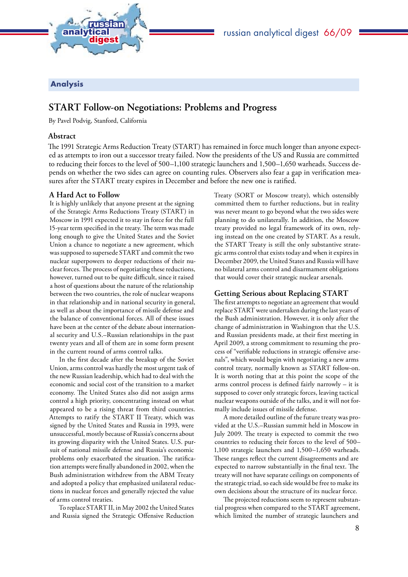

<span id="page-7-0"></span>

## Analysis

## **START Follow-on Negotiations: Problems and Progress**

By Pavel Podvig, Stanford, California

## **Abstract**

The 1991 Strategic Arms Reduction Treaty (START) has remained in force much longer than anyone expected as attempts to iron out a successor treaty failed. Now the presidents of the US and Russia are committed to reducing their forces to the level of 500–1,100 strategic launchers and 1,500–1,650 warheads. Success depends on whether the two sides can agree on counting rules. Observers also fear a gap in verification measures after the START treaty expires in December and before the new one is ratified.

## **A Hard Act to Follow**

It is highly unlikely that anyone present at the signing of the Strategic Arms Reductions Treaty (START) in Moscow in 1991 expected it to stay in force for the full 15-year term specified in the treaty. The term was made long enough to give the United States and the Soviet Union a chance to negotiate a new agreement, which was supposed to supersede START and commit the two nuclear superpowers to deeper reductions of their nuclear forces. The process of negotiating these reductions, however, turned out to be quite difficult, since it raised a host of questions about the nature of the relationship between the two countries, the role of nuclear weapons in that relationship and in national security in general, as well as about the importance of missile defense and the balance of conventional forces. All of these issues have been at the center of the debate about international security and U.S.–Russian relationships in the past twenty years and all of them are in some form present in the current round of arms control talks.

In the first decade after the breakup of the Soviet Union, arms control was hardly the most urgent task of the new Russian leadership, which had to deal with the economic and social cost of the transition to a market economy. The United States also did not assign arms control a high priority, concentrating instead on what appeared to be a rising threat from third countries. Attempts to ratify the START II Treaty, which was signed by the United States and Russia in 1993, were unsuccessful, mostly because of Russia's concerns about its growing disparity with the United States. U.S. pursuit of national missile defense and Russia's economic problems only exacerbated the situation. The ratification attempts were finally abandoned in 2002, when the Bush administration withdrew from the ABM Treaty and adopted a policy that emphasized unilateral reductions in nuclear forces and generally rejected the value of arms control treaties.

To replace START II, in May 2002 the United States and Russia signed the Strategic Offensive Reduction Treaty (SORT or Moscow treaty), which ostensibly committed them to further reductions, but in reality was never meant to go beyond what the two sides were planning to do unilaterally. In addition, the Moscow treaty provided no legal framework of its own, relying instead on the one created by START. As a result, the START Treaty is still the only substantive strategic arms control that exists today and when it expires in December 2009, the United States and Russia will have no bilateral arms control and disarmament obligations that would cover their strategic nuclear arsenals.

## **Getting Serious about Replacing START**

The first attempts to negotiate an agreement that would replace START were undertaken during the last years of the Bush administration. However, it is only after the change of administration in Washington that the U.S. and Russian presidents made, at their first meeting in April 2009, a strong commitment to resuming the process of "verifiable reductions in strategic offensive arsenals", which would begin with negotiating a new arms control treaty, normally known as START follow-on. It is worth noting that at this point the scope of the arms control process is defined fairly narrowly – it is supposed to cover only strategic forces, leaving tactical nuclear weapons outside of the talks, and it will not formally include issues of missile defense.

A more detailed outline of the future treaty was provided at the U.S.–Russian summit held in Moscow in July 2009. The treaty is expected to commit the two countries to reducing their forces to the level of 500– 1,100 strategic launchers and 1,500–1,650 warheads. These ranges reflect the current disagreements and are expected to narrow substantially in the final text. The treaty will not have separate ceilings on components of the strategic triad, so each side would be free to make its own decisions about the structure of its nuclear force.

The projected reductions seem to represent substantial progress when compared to the START agreement, which limited the number of strategic launchers and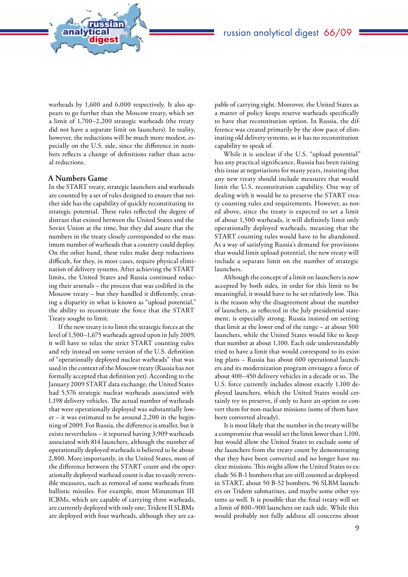warheads by 1,600 and 6,000 respectively. It also appears to go further than the Moscow treaty, which set a limit of 1,700–2,200 strategic warheads (the treaty did not have a separate limit on launchers). In reality, however, the reductions will be much more modest, especially on the U.S. side, since the difference in numbers reflects a change of definitions rather than actual reductions.

### **A Numbers Game**

analytical<br>digest

russian

In the START treaty, strategic launchers and warheads are counted by a set of rules designed to ensure that neither side has the capability of quickly reconstituting its strategic potential. These rules reflected the degree of distrust that existed between the United States and the Soviet Union at the time, but they did assure that the numbers in the treaty closely corresponded to the maximum number of warheads that a country could deploy. On the other hand, these rules make deep reductions difficult, for they, in most cases, require physical elimination of delivery systems. After achieving the START limits, the United States and Russia continued reducing their arsenals – the process that was codified in the Moscow treaty – but they handled it differently, creating a disparity in what is known as "upload potential," the ability to reconstitute the force that the START Treaty sought to limit.

If the new treaty is to limit the strategic forces at the level of 1,500–1,675 warheads agreed upon in July 2009, it will have to relax the strict START counting rules and rely instead on some version of the U.S. definition of "operationally deployed nuclear warheads" that was used in the context of the Moscow treaty (Russia has not formally accepted that definition yet). According to the January 2009 START data exchange, the United States had 5,576 strategic nuclear warheads associated with 1,198 delivery vehicles. The actual number of warheads that were operationally deployed was substantially lower – it was estimated to be around 2,200 in the beginning of 2009. For Russia, the difference is smaller, but it exists nevertheless – it reported having 3,909 warheads associated with 814 launchers, although the number of operationally deployed warheads is believed to be about 2,800. More importantly, in the United States, most of the difference between the START count and the operationally deployed warhead count is due to easily reversible measures, such as removal of some warheads from ballistic missiles. For example, most Minuteman III ICBMs, which are capable of carrying three warheads, are currently deployed with only one; Trident II SLBMs are deployed with four warheads, although they are capable of carrying eight. Moreover, the United States as a matter of policy keeps reserve warheads specifically to have that reconstitution option. In Russia, the difference was created primarily by the slow pace of eliminating old delivery systems, so it has no reconstitution capability to speak of.

While it is unclear if the U.S. "upload potential" has any practical significance, Russia has been raising this issue at negotiations for many years, insisting that any new treaty should include measures that would limit the U.S. reconstitution capability. One way of dealing with it would be to preserve the START treaty counting rules and requirements. However, as noted above, since the treaty is expected to set a limit of about 1,500 warheads, it will definitely limit only operationally deployed warheads, meaning that the START counting rules would have to be abandoned. As a way of satisfying Russia's demand for provisions that would limit upload potential, the new treaty will include a separate limit on the number of strategic launchers.

Although the concept of a limit on launchers is now accepted by both sides, in order for this limit to be meaningful, it would have to be set relatively low. This is the reason why the disagreement about the number of launchers, as reflected in the July presidential statement, is especially strong. Russia insisted on setting that limit at the lower end of the range – at about 500 launchers, while the United States would like to keep that number at about 1,100. Each side understandably tried to have a limit that would correspond to its existing plans – Russia has about 600 operational launchers and its modernization program envisages a force of about 400–450 delivery vehicles in a decade or so. The U.S. force currently includes almost exactly 1,100 deployed launchers, which the United States would certainly try to preserve, if only to have an option to convert them for non-nuclear missions (some of them have been converted already).

It is most likely that the number in the treaty will be a compromise that would set the limit lower than 1,100, but would allow the United States to exclude some of the launchers from the treaty count by demonstrating that they have been converted and no longer have nuclear missions. This might allow the United States to exclude 56 B-1 bombers that are still counted as deployed in START, about 50 B-52 bombers, 96 SLBM launchers on Trident submarines, and maybe some other systems as well. It is possible that the final treaty will set a limit of 800–900 launchers on each side. While this would probably not fully address all concerns about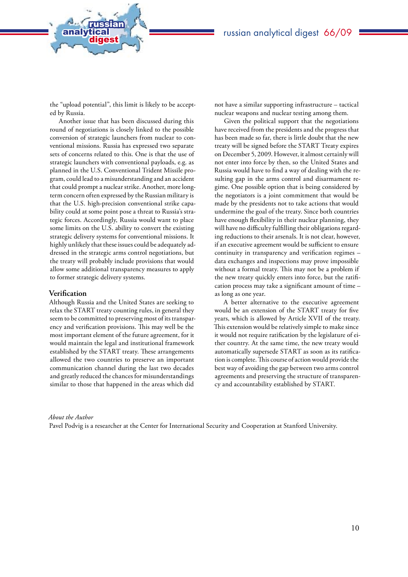the "upload potential", this limit is likely to be accepted by Russia.

analytical<br>digest

russian

Another issue that has been discussed during this round of negotiations is closely linked to the possible conversion of strategic launchers from nuclear to conventional missions. Russia has expressed two separate sets of concerns related to this. One is that the use of strategic launchers with conventional payloads, e.g. as planned in the U.S. Conventional Trident Missile program, could lead to a misunderstanding and an accident that could prompt a nuclear strike. Another, more longterm concern often expressed by the Russian military is that the U.S. high-precision conventional strike capability could at some point pose a threat to Russia's strategic forces. Accordingly, Russia would want to place some limits on the U.S. ability to convert the existing strategic delivery systems for conventional missions. It highly unlikely that these issues could be adequately addressed in the strategic arms control negotiations, but the treaty will probably include provisions that would allow some additional transparency measures to apply to former strategic delivery systems.

#### **Verification**

Although Russia and the United States are seeking to relax the START treaty counting rules, in general they seem to be committed to preserving most of its transparency and verification provisions. This may well be the most important element of the future agreement, for it would maintain the legal and institutional framework established by the START treaty. These arrangements allowed the two countries to preserve an important communication channel during the last two decades and greatly reduced the chances for misunderstandings similar to those that happened in the areas which did

not have a similar supporting infrastructure – tactical nuclear weapons and nuclear testing among them.

Given the political support that the negotiations have received from the presidents and the progress that has been made so far, there is little doubt that the new treaty will be signed before the START Treaty expires on December 5, 2009. However, it almost certainly will not enter into force by then, so the United States and Russia would have to find a way of dealing with the resulting gap in the arms control and disarmament regime. One possible option that is being considered by the negotiators is a joint commitment that would be made by the presidents not to take actions that would undermine the goal of the treaty. Since both countries have enough flexibility in their nuclear planning, they will have no difficulty fulfilling their obligations regarding reductions to their arsenals. It is not clear, however, if an executive agreement would be sufficient to ensure continuity in transparency and verification regimes – data exchanges and inspections may prove impossible without a formal treaty. This may not be a problem if the new treaty quickly enters into force, but the ratification process may take a significant amount of time – as long as one year.

A better alternative to the executive agreement would be an extension of the START treaty for five years, which is allowed by Article XVII of the treaty. This extension would be relatively simple to make since it would not require ratification by the legislature of either country. At the same time, the new treaty would automatically supersede START as soon as its ratification is complete. This course of action would provide the best way of avoiding the gap between two arms control agreements and preserving the structure of transparency and accountability established by START.

#### *About the Author*

Pavel Podvig is a researcher at the Center for International Security and Cooperation at Stanford University.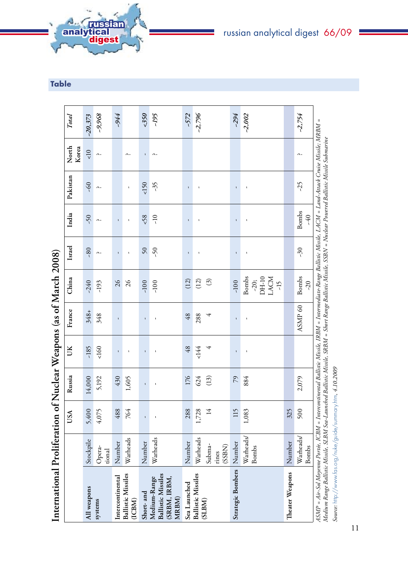|                                                                    |                           | USA          | Russia       | UK                 | France             | China                                                     | Israel          | India                 | Pakistan           | North<br>Korea     | <b>Total</b> |
|--------------------------------------------------------------------|---------------------------|--------------|--------------|--------------------|--------------------|-----------------------------------------------------------|-----------------|-----------------------|--------------------|--------------------|--------------|
| All weapons                                                        | Stockpile                 | 5,400        | 14,000       | $-185$             | $348 +$            | $-240$                                                    | $-80$           | $\tilde{\mathcal{S}}$ | $-60$              | $\leq 10$          | $-20,373$    |
| systems                                                            | Opera-<br>tional          | 4,075        | 5,192        | 160                | 348                | $-193$                                                    | $\sim$          | $\mathbf{\hat{a}}$    | $\mathbf{\hat{a}}$ | $\mathfrak{a}$ .   | $-9,968$     |
| Intercontinental                                                   | Number                    | 488          | 430          | $\mathbf{I}$       | $\mathbf{I}$       | $\mathfrak{Z}6$                                           | $\mathbf{I}$    | $\mathbf{I}$          |                    |                    | -944         |
| <b>Ballistic Missiles</b><br>(ICBM)                                | Warheads                  | 764          | 1,605        | $\mathbf{I}$       |                    | $\delta$                                                  | $\mathbf{I}$    | $\mathbf{I}$          | $\mathbf{I}$       | $\sim$             |              |
| Short- and                                                         | Number                    | $\mathbf{I}$ | $\mathbf{I}$ | $\mathbf{I}$       | $\mathbf{I}$       | $-100$                                                    | $50\,$          | 58                    | $\leq 150$         | $\mathbf I$        | 550          |
| <b>Ballistic Missiles</b><br>(SRBM, IRBM,<br>Medium-Range<br>MRBM) | Warheads                  | $\mathbf{I}$ | $\mathbf{I}$ | $\pmb{\mathsf{I}}$ | $\mathbf{I}$       | $-100$                                                    | $\tilde{\zeta}$ | $\frac{1}{2}$         | $-35$              | $\mathbf{\hat{a}}$ | -195         |
| Sea Launched                                                       | Number                    | 288          | 176          | 48                 | 48                 | (12)                                                      | $\mathbf i$     | $\mathbf i$           | $\mathbf i$        |                    | -572         |
| <b>Ballistic Missiles</b>                                          | Warheads                  | 1,728        | 624          | <144               | 288                | (12)                                                      | ï               | $\mathbf{I}$          | $\mathbf{I}$       |                    | $-2,796$     |
| (SLBM)                                                             | Subma-<br>(SSBN)<br>rines | 14           | (13)         | 4                  | 4                  | $\odot$                                                   |                 |                       |                    |                    |              |
| Strategic Bombers                                                  | Number                    | 115          | $\sqrt{2}$   | $\mathbf{I}$       | $\mathbf{I}$       | $-100$                                                    | $\mathbf{I}$    | $\mathbf{I}$          | $\mathbf{I}$       |                    | $-294$       |
|                                                                    | Warheads/<br><b>Bombs</b> | 1,083        | 884          | $\mathbf i$        | $\mathbf{I}$       | <b>Bombs</b><br>DH-10<br>LACM<br>$-20;$<br>$\frac{15}{1}$ | $\mathbf i$     | $\mathbf i$           | $\mathbf i$        |                    | $-2,002$     |
| Theater Weapons                                                    | Number                    | 325          |              |                    |                    |                                                           |                 |                       |                    |                    |              |
|                                                                    | Warheads/<br><b>Bombs</b> | 500          | 2,079        |                    | ASMP <sub>60</sub> | <b>Bombs</b><br>$\tilde{\mathcal{L}}$                     | $-30$           | <b>Bombs</b><br>$-40$ | $-25$              | Λ.                 | $-2,754$     |

International Proliferation of Nuclear Weapons (as of  $M$ arch 2008) **Nuclear Weapons (as of March 2008) Proliferation of International** 

Table

<span id="page-10-0"></span>

Medium Range Ballistic Missile, SLBM Sea-Launched Ballistic Missile, SRBM = Short Range Ballistic Missile, SSBN = Nuclear Powered Ballistic Missile Submarine *Medium Range Ballistic Missile, SLBM Sea-Launched Ballistic Missile, SRBM = Short Range Ballistic Missile, SSBN = Nuclear Powered Ballistic Missile Submarine* Source: http://www.fas.org/nuke/guide/summary.htm, 4.10.2009 *Source:* http://www.fas.org/nuke/guide/summary.htm*, 4.10.2009*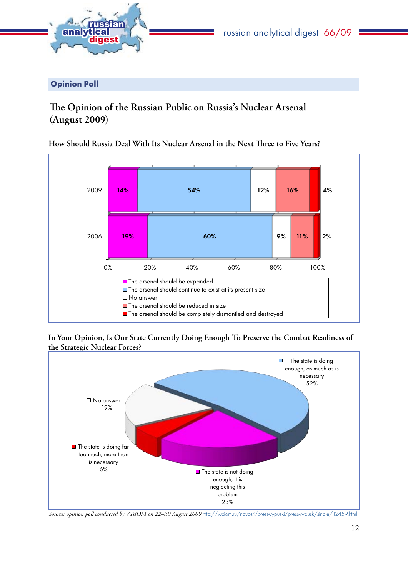<span id="page-11-0"></span>

Opinion Poll

# **The Opinion of the Russian Public on Russia's Nuclear Arsenal (August 2009)**

**How Should Russia Deal With Its Nuclear Arsenal in the Next Three to Five Years?** 



In Your Opinion, Is Our State Currently Doing Enough To Preserve the Combat Readiness of **the Strategic Nuclear Forces?**



Source: opinion poll conducted by VTsIOM on 22-30 August 2009 http://wciom.ru/novosti/press-vypuski/press-vypusk/single/12459.html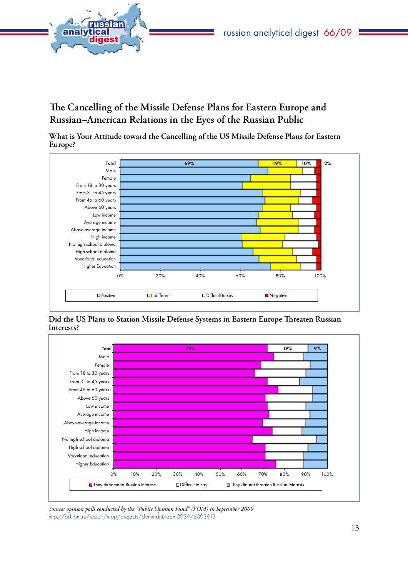<span id="page-12-0"></span>

**The Cancelling of the Missile Defense Plans for Eastern Europe and Russian–American Relations in the Eyes of the Russian Public**

**What is Your Attitude toward the Cancelling of the US Missile Defense Plans for Eastern Europe?**



**Did the US Plans to Station Missile Defense Systems in Eastern Europe Threaten Russian Interests?**



*Source: opinion polls conducted by the "Public Opinion Fund" (FOM) in September 2009*  http://bd.fom.ru/report/map/projects/dominant/dom0939/d093913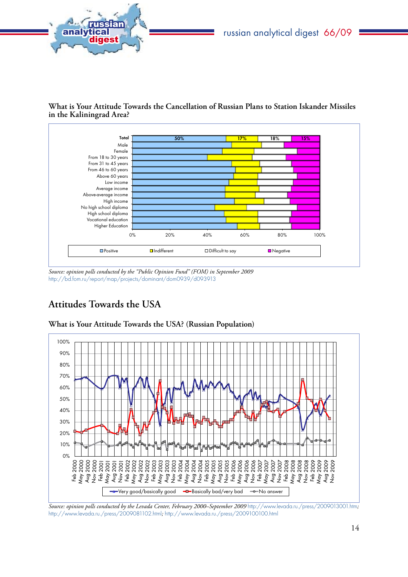<span id="page-13-0"></span>

**What is Your Attitude Towards the Cancellation of Russian Plans to Station Iskander Missiles in the Kaliningrad Area?**



*Source: opinion polls conducted by the "Public Opinion Fund" (FOM) in September 2009*  http://bd.fom.ru/report/map/projects/dominant/dom0939/d093913

# **Attitudes Towards the USA**



**What is Your Attitude Towards the USA? (Russian Population)**

*Source: opinion polls conducted by the Levada Center, February 2000–September 2009* http://www.levada.ru./press/2009013001.htm*;*  http://www.levada.ru./press/2009081102.html*;* http://www.levada.ru./press/2009100100.html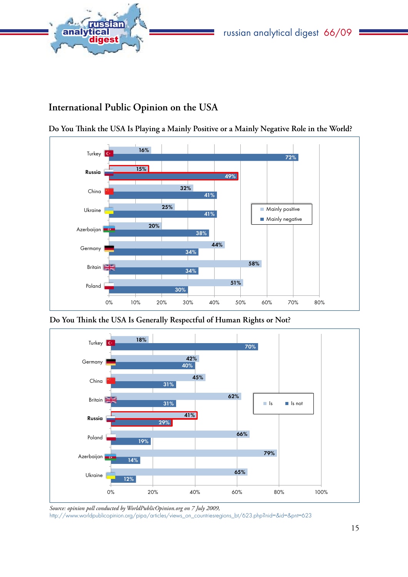<span id="page-14-0"></span>

# **International Public Opinion on the USA**



**Do You Think the USA Is Playing a Mainly Positive or a Mainly Negative Role in the World?**

**Do You Think the USA Is Generally Respectful of Human Rights or Not?**



*Source: opinion poll conducted by WorldPublicOpinion.org on 7 July 2009,*  [http://www.worldpublicopinion.org/pipa/articles/views\\_on\\_countriesregions\\_bt/623.php?nid=&id=&pnt=623](http://www.worldpublicopinion.org/pipa/articles/views_on_countriesregions_bt/623.php?nid=&id=&pnt=623)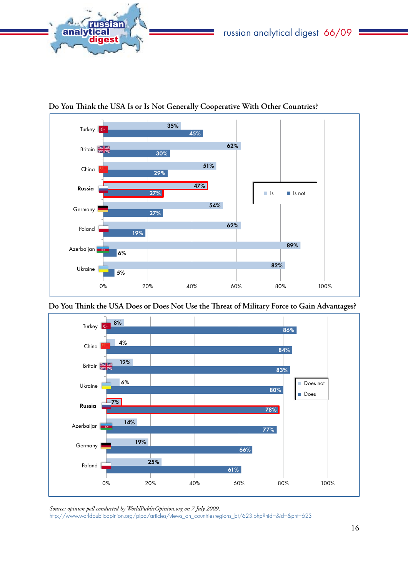



**Do You Think the USA Is or Is Not Generally Cooperative With Other Countries?**

**Do You Think the USA Does or Does Not Use the Threat of Military Force to Gain Advantages?**



*Source: opinion poll conducted by WorldPublicOpinion.org on 7 July 2009,*  [http://www.worldpublicopinion.org/pipa/articles/views\\_on\\_countriesregions\\_bt/623.php?nid=&id=&pnt=623](http://www.worldpublicopinion.org/pipa/articles/views_on_countriesregions_bt/623.php?nid=&id=&pnt=623)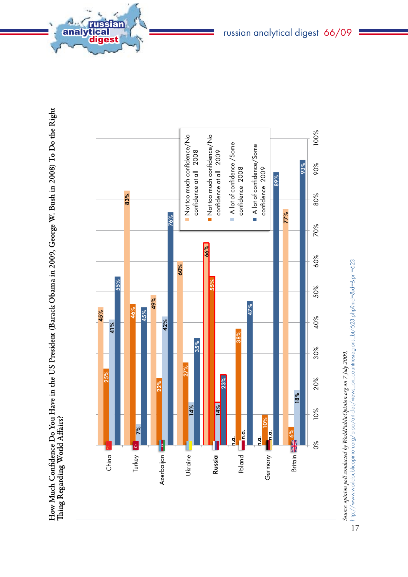

**How Much Confidence Do You Have in the U**  $\boldsymbol{\omega}$ **President ( Barack Obama in 2009, George W. Bush in 2008) To Do the Right** 

analytical<br>digest

russian

Source: opinion poll conducted by WorldPublicOpinion.org on 7 July 2009, *Source: opinion poll conducted by WorldPublicOpinion.org on 7 July 2009,* 

http://www.worldpublicopinion.org/pipa/atricles/views\_on\_countriesregions\_bt/623.php?nid=&id=&pnt=623 [http://www.worldpublicopinion.org/pipa/articles/views\\_on\\_countriesregions\\_bt/623.php?nid=&id=&pnt=623](http://www.worldpublicopinion.org/pipa/articles/views_on_countriesregions_bt/623.php?nid=&id=&pnt=623)

<sup>17</sup>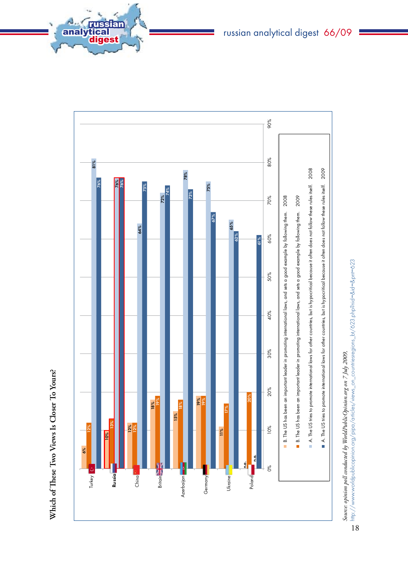

analytical<br>digest

russian



Source: opinion poll conducted by WorldPublicOpinion.org on 7 July 2009, *Source: opinion poll conducted by WorldPublicOpinion.org on 7 July 2009,* 

http://www.worldpublicopinion.org/pipa/articles/views\_on\_countriesregions\_bt/623.php?nid=&id=&pnt=623 [http://www.worldpublicopinion.org/pipa/articles/views\\_on\\_countriesregions\\_bt/623.php?nid=&id=&pnt=623](http://www.worldpublicopinion.org/pipa/articles/views_on_countriesregions_bt/623.php?nid=&id=&pnt=623)18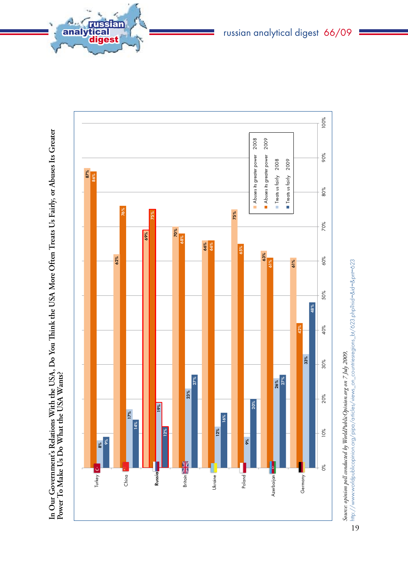

**In Our Government's Relations With the U** In Our Government's Relations With the USA, Do You Think the USA More Often Treats Us Fairly, or Abuses Its Greater<br>Power To Make Us Do What the USA Wants? **You Think the U SA More Often Treats Us Fairly, or Abuses Its Greater Power To Make Us Do What the U SA Wants?**

analytical<br>digest

russian

19

http://www.worldpublicopinion.org/pipa/atricles/views\_on\_countriesregions\_bt/623.php?nid=&id=&pnt=623 [http://www.worldpublicopinion.org/pipa/articles/views\\_on\\_countriesregions\\_bt/623.php?nid=&id=&pnt=623](http://www.worldpublicopinion.org/pipa/articles/views_on_countriesregions_bt/623.php?nid=&id=&pnt=623)

russian analytical digest 66/09

Source: opinion poll conducted by WorldPublicOpinion.org on 7 July 2009, *Source: opinion poll conducted by WorldPublicOpinion.org on 7 July 2009,*